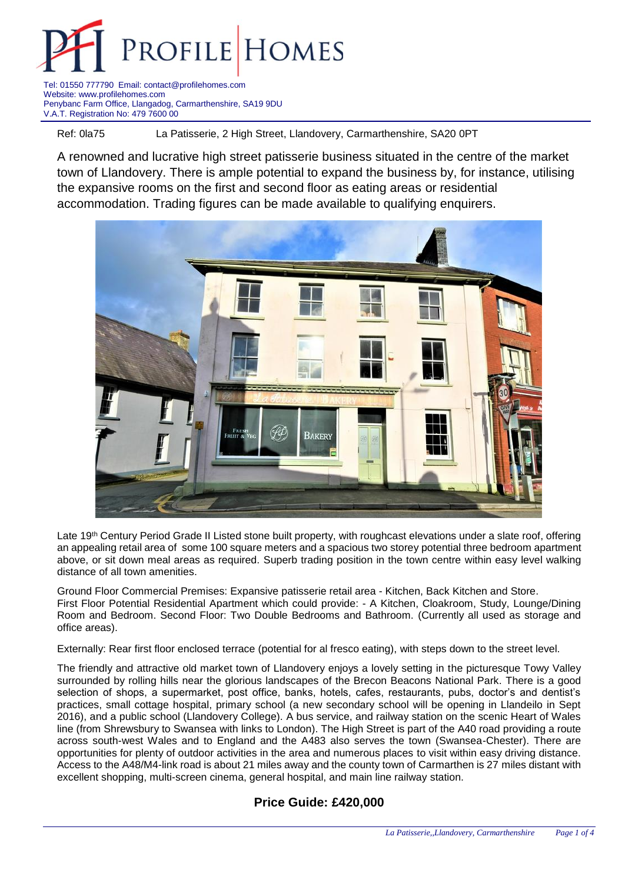

Tel: 01550 777790 Email: contact@profilehomes.com Website: www.profilehomes.com Penybanc Farm Office, Llangadog, Carmarthenshire, SA19 9DU V.A.T. Registration No: 479 7600 00

Ref: 0la75 La Patisserie, 2 High Street, Llandovery, Carmarthenshire, SA20 0PT

A renowned and lucrative high street patisserie business situated in the centre of the market town of Llandovery. There is ample potential to expand the business by, for instance, utilising the expansive rooms on the first and second floor as eating areas or residential accommodation. Trading figures can be made available to qualifying enquirers.



Late 19<sup>th</sup> Century Period Grade II Listed stone built property, with roughcast elevations under a slate roof, offering an appealing retail area of some 100 square meters and a spacious two storey potential three bedroom apartment above, or sit down meal areas as required. Superb trading position in the town centre within easy level walking distance of all town amenities.

Ground Floor Commercial Premises: Expansive patisserie retail area - Kitchen, Back Kitchen and Store. First Floor Potential Residential Apartment which could provide: - A Kitchen, Cloakroom, Study, Lounge/Dining Room and Bedroom. Second Floor: Two Double Bedrooms and Bathroom. (Currently all used as storage and office areas).

Externally: Rear first floor enclosed terrace (potential for al fresco eating), with steps down to the street level.

The friendly and attractive old market town of Llandovery enjoys a lovely setting in the picturesque Towy Valley surrounded by rolling hills near the glorious landscapes of the Brecon Beacons National Park. There is a good selection of shops, a supermarket, post office, banks, hotels, cafes, restaurants, pubs, doctor's and dentist's practices, small cottage hospital, primary school (a new secondary school will be opening in Llandeilo in Sept 2016), and a public school (Llandovery College). A bus service, and railway station on the scenic Heart of Wales line (from Shrewsbury to Swansea with links to London). The High Street is part of the A40 road providing a route across south-west Wales and to England and the A483 also serves the town (Swansea-Chester). There are opportunities for plenty of outdoor activities in the area and numerous places to visit within easy driving distance. Access to the A48/M4-link road is about 21 miles away and the county town of Carmarthen is 27 miles distant with excellent shopping, multi-screen cinema, general hospital, and main line railway station.

## **Price Guide: £420,000**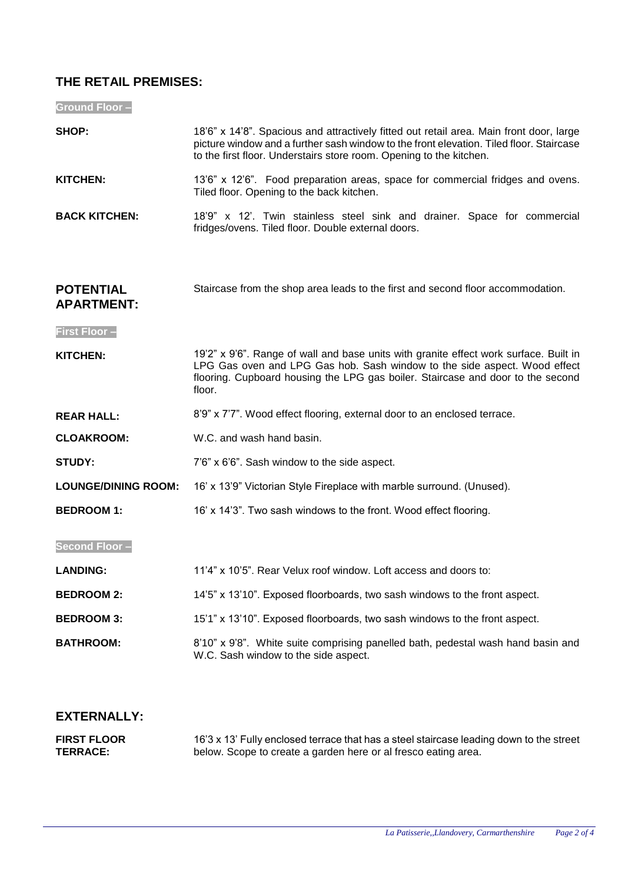## **THE RETAIL PREMISES:**

**Ground Floor –**

| SHOP:                                 | 18'6" x 14'8". Spacious and attractively fitted out retail area. Main front door, large<br>picture window and a further sash window to the front elevation. Tiled floor. Staircase<br>to the first floor. Understairs store room. Opening to the kitchen.       |
|---------------------------------------|-----------------------------------------------------------------------------------------------------------------------------------------------------------------------------------------------------------------------------------------------------------------|
| <b>KITCHEN:</b>                       | 13'6" x 12'6". Food preparation areas, space for commercial fridges and ovens.<br>Tiled floor. Opening to the back kitchen.                                                                                                                                     |
| <b>BACK KITCHEN:</b>                  | 18'9" x 12'. Twin stainless steel sink and drainer. Space for commercial<br>fridges/ovens. Tiled floor. Double external doors.                                                                                                                                  |
| <b>POTENTIAL</b><br><b>APARTMENT:</b> | Staircase from the shop area leads to the first and second floor accommodation.                                                                                                                                                                                 |
| <b>First Floor-</b>                   |                                                                                                                                                                                                                                                                 |
| KITCHEN:                              | 19'2" x 9'6". Range of wall and base units with granite effect work surface. Built in<br>LPG Gas oven and LPG Gas hob. Sash window to the side aspect. Wood effect<br>flooring. Cupboard housing the LPG gas boiler. Staircase and door to the second<br>floor. |
| <b>REAR HALL:</b>                     | 8'9" x 7'7". Wood effect flooring, external door to an enclosed terrace.                                                                                                                                                                                        |
| <b>CLOAKROOM:</b>                     | W.C. and wash hand basin.                                                                                                                                                                                                                                       |
| <b>STUDY:</b>                         | 7'6" x 6'6". Sash window to the side aspect.                                                                                                                                                                                                                    |
| <b>LOUNGE/DINING ROOM:</b>            | 16' x 13'9" Victorian Style Fireplace with marble surround. (Unused).                                                                                                                                                                                           |
| <b>BEDROOM 1:</b>                     | 16' x 14'3". Two sash windows to the front. Wood effect flooring.                                                                                                                                                                                               |
| <b>Second Floor-</b>                  |                                                                                                                                                                                                                                                                 |
| <b>LANDING:</b>                       | 11'4" x 10'5". Rear Velux roof window. Loft access and doors to:                                                                                                                                                                                                |
| <b>BEDROOM 2:</b>                     | 14'5" x 13'10". Exposed floorboards, two sash windows to the front aspect.                                                                                                                                                                                      |
| <b>BEDROOM 3:</b>                     | 15'1" x 13'10". Exposed floorboards, two sash windows to the front aspect.                                                                                                                                                                                      |
| <b>BATHROOM:</b>                      | 8'10" x 9'8". White suite comprising panelled bath, pedestal wash hand basin and<br>W.C. Sash window to the side aspect.                                                                                                                                        |
|                                       |                                                                                                                                                                                                                                                                 |

# **EXTERNALLY:**

| <b>FIRST FLOOR</b> | 16'3 x 13' Fully enclosed terrace that has a steel staircase leading down to the street |
|--------------------|-----------------------------------------------------------------------------------------|
| <b>TERRACE:</b>    | below. Scope to create a garden here or al fresco eating area.                          |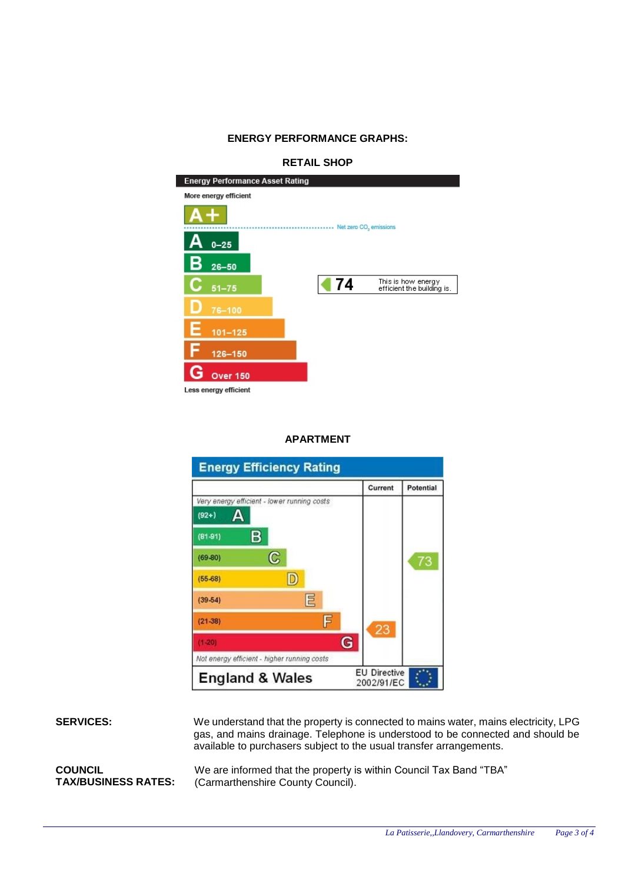#### **ENERGY PERFORMANCE GRAPHS:**

### **RETAIL SHOP**



#### **APARTMENT**

| <b>Energy Efficiency Rating</b>             |   |                                   |           |
|---------------------------------------------|---|-----------------------------------|-----------|
|                                             |   | Current                           | Potential |
| Very energy efficient - lower running costs |   |                                   |           |
| $(92+)$                                     |   |                                   |           |
| B <sub>1</sub><br>$(81-91)$                 |   |                                   |           |
| C<br>$(69-80)$                              |   |                                   | 73        |
| D<br>$(55-68)$                              |   |                                   |           |
| 巨<br>$(39-54)$                              |   |                                   |           |
| F<br>$(21-38)$                              |   | 23                                |           |
| $(1 - 20)$                                  | G |                                   |           |
| Not energy efficient - higher running costs |   |                                   |           |
| <b>England &amp; Wales</b>                  |   | <b>EU Directive</b><br>2002/91/EC |           |

**SERVICES:** We understand that the property is connected to mains water, mains electricity, LPG gas, and mains drainage. Telephone is understood to be connected and should be available to purchasers subject to the usual transfer arrangements.

**COUNCIL TAX/BUSINESS RATES:** We are informed that the property is within Council Tax Band "TBA" (Carmarthenshire County Council).